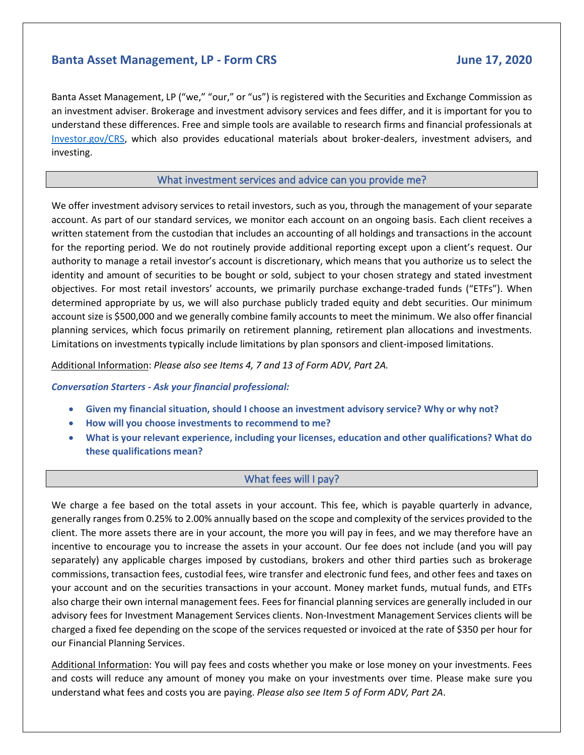# **Banta Asset Management, LP - Form CRS June 17, 2020**

Banta Asset Management, LP ("we," "our," or "us") is registered with the Securities and Exchange Commission as an investment adviser. Brokerage and investment advisory services and fees differ, and it is important for you to understand these differences. Free and simple tools are available to research firms and financial professionals at [Investor.gov/CRS,](https://www.investor.gov/CRS) which also provides educational materials about broker-dealers, investment advisers, and investing.

# What investment services and advice can you provide me?

We offer investment advisory services to retail investors, such as you, through the management of your separate account. As part of our standard services, we monitor each account on an ongoing basis. Each client receives a written statement from the custodian that includes an accounting of all holdings and transactions in the account for the reporting period. We do not routinely provide additional reporting except upon a client's request. Our authority to manage a retail investor's account is discretionary, which means that you authorize us to select the identity and amount of securities to be bought or sold, subject to your chosen strategy and stated investment objectives. For most retail investors' accounts, we primarily purchase exchange-traded funds ("ETFs"). When determined appropriate by us, we will also purchase publicly traded equity and debt securities. Our minimum account size is \$500,000 and we generally combine family accounts to meet the minimum. We also offer financial planning services, which focus primarily on retirement planning, retirement plan allocations and investments. Limitations on investments typically include limitations by plan sponsors and client-imposed limitations.

Additional Information: *Please also see Items 4, 7 and 13 of Form ADV, Part 2A.*

*Conversation Starters - Ask your financial professional:*

- **Given my financial situation, should I choose an investment advisory service? Why or why not?**
- **How will you choose investments to recommend to me?**
- **What is your relevant experience, including your licenses, education and other qualifications? What do these qualifications mean?**

## What fees will I pay?

We charge a fee based on the total assets in your account. This fee, which is payable quarterly in advance, generally ranges from 0.25% to 2.00% annually based on the scope and complexity of the services provided to the client. The more assets there are in your account, the more you will pay in fees, and we may therefore have an incentive to encourage you to increase the assets in your account. Our fee does not include (and you will pay separately) any applicable charges imposed by custodians, brokers and other third parties such as brokerage commissions, transaction fees, custodial fees, wire transfer and electronic fund fees, and other fees and taxes on your account and on the securities transactions in your account. Money market funds, mutual funds, and ETFs also charge their own internal management fees. Fees for financial planning services are generally included in our advisory fees for Investment Management Services clients. Non-Investment Management Services clients will be charged a fixed fee depending on the scope of the services requested or invoiced at the rate of \$350 per hour for our Financial Planning Services.

Additional Information: You will pay fees and costs whether you make or lose money on your investments. Fees and costs will reduce any amount of money you make on your investments over time. Please make sure you understand what fees and costs you are paying. *Please also see Item 5 of Form ADV, Part 2A*.